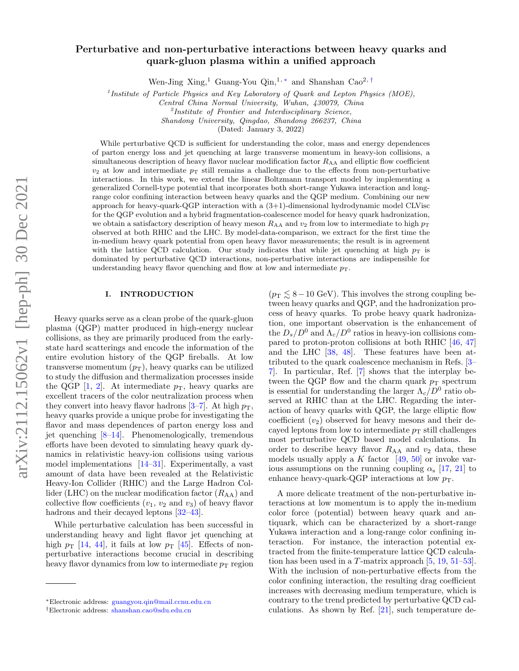# arXiv:2112.15062v1 [hep-ph] 30 Dec 2021 arXiv:2112.15062v1 [hep-ph] 30 Dec 2021

# Perturbative and non-perturbative interactions between heavy quarks and quark-gluon plasma within a unified approach

Wen-Jing Xing,<sup>1</sup> Guang-You Qin,<sup>1,\*</sup> and Shanshan Cao<sup>2,[†](#page-0-1)</sup>

<sup>1</sup> Institute of Particle Physics and Key Laboratory of Quark and Lepton Physics (MOE),

Central China Normal University, Wuhan, 430079, China

<sup>2</sup>Institute of Frontier and Interdisciplinary Science,

Shandong University, Qingdao, Shandong 266237, China

(Dated: January 3, 2022)

While perturbative QCD is sufficient for understanding the color, mass and energy dependences of parton energy loss and jet quenching at large transverse momentum in heavy-ion collisions, a simultaneous description of heavy flavor nuclear modification factor  $R_{AA}$  and elliptic flow coefficient  $v_2$  at low and intermediate  $p<sub>T</sub>$  still remains a challenge due to the effects from non-perturbative interactions. In this work, we extend the linear Boltzmann transport model by implementing a generalized Cornell-type potential that incorporates both short-range Yukawa interaction and longrange color confining interaction between heavy quarks and the QGP medium. Combining our new approach for heavy-quark-QGP interaction with a (3+1)-dimensional hydrodynamic model CLVisc for the QGP evolution and a hybrid fragmentation-coalescence model for heavy quark hadronization, we obtain a satisfactory description of heavy meson  $R_{AA}$  and  $v_2$  from low to intermediate to high  $p_T$ observed at both RHIC and the LHC. By model-data-comparison, we extract for the first time the in-medium heavy quark potential from open heavy flavor measurements; the result is in agreement with the lattice QCD calculation. Our study indicates that while jet quenching at high  $p_T$  is dominated by perturbative QCD interactions, non-perturbative interactions are indispensible for understanding heavy flavor quenching and flow at low and intermediate  $p<sub>T</sub>$ .

### I. INTRODUCTION

Heavy quarks serve as a clean probe of the quark-gluon plasma (QGP) matter produced in high-energy nuclear collisions, as they are primarily produced from the earlystate hard scatterings and encode the information of the entire evolution history of the QGP fireballs. At low transverse momentum  $(p_T)$ , heavy quarks can be utilized to study the diffusion and thermalization processes inside the QGP  $[1, 2]$  $[1, 2]$ . At intermediate  $p<sub>T</sub>$ , heavy quarks are excellent tracers of the color neutralization process when they convert into heavy flavor hadrons [\[3–](#page-7-2)[7\]](#page-7-3). At high  $p_T$ , heavy quarks provide a unique probe for investigating the flavor and mass dependences of parton energy loss and jet quenching  $[8-14]$ . Phenomenologically, tremendous efforts have been devoted to simulating heavy quark dynamics in relativistic heavy-ion collisions using various model implementations [\[14](#page-7-5)[–31\]](#page-7-6). Experimentally, a vast amount of data have been revealed at the Relativistic Heavy-Ion Collider (RHIC) and the Large Hadron Collider (LHC) on the nuclear modification factor  $(R_{AA})$  and collective flow coefficients  $(v_1, v_2 \text{ and } v_3)$  of heavy flavor hadrons and their decayed leptons  $[32-43]$ .

While perturbative calculation has been successful in understanding heavy and light flavor jet quenching at high  $p_T$  [\[14,](#page-7-5) [44\]](#page-7-9), it fails at low  $p_T$  [\[45\]](#page-7-10). Effects of nonperturbative interactions become crucial in describing heavy flavor dynamics from low to intermediate  $p<sub>T</sub>$  region

 $(p_T \leq 8-10 \text{ GeV})$ . This involves the strong coupling between heavy quarks and QGP, and the hadronization process of heavy quarks. To probe heavy quark hadronization, one important observation is the enhancement of the  $D_s/D^0$  and  $\Lambda_c/D^0$  ratios in heavy-ion collisions compared to proton-proton collisions at both RHIC [\[46,](#page-7-11) [47\]](#page-7-12) and the LHC [\[38,](#page-7-13) [48\]](#page-7-14). These features have been attributed to the quark coalescence mechanism in Refs. [\[3–](#page-7-2) [7\]](#page-7-3). In particular, Ref. [\[7\]](#page-7-3) shows that the interplay between the QGP flow and the charm quark  $p_T$  spectrum is essential for understanding the larger  $\Lambda_c/D^0$  ratio observed at RHIC than at the LHC. Regarding the interaction of heavy quarks with QGP, the large elliptic flow coefficient  $(v_2)$  observed for heavy mesons and their decayed leptons from low to intermediate  $p<sub>T</sub>$  still challenges most perturbative QCD based model calculations. In order to describe heavy flavor  $R_{AA}$  and  $v_2$  data, these models usually apply a K factor  $[49, 50]$  $[49, 50]$  or invoke various assumptions on the running coupling  $\alpha_s$  [\[17,](#page-7-17) [21\]](#page-7-18) to enhance heavy-quark-QGP interactions at low  $p_T$ .

A more delicate treatment of the non-perturbative interactions at low momentum is to apply the in-medium color force (potential) between heavy quark and antiquark, which can be characterized by a short-range Yukawa interaction and a long-range color confining interaction. For instance, the interaction potential extracted from the finite-temperature lattice QCD calculation has been used in a T-matrix approach [\[5,](#page-7-19) [19,](#page-7-20) [51–](#page-7-21)[53\]](#page-7-22). With the inclusion of non-perturbative effects from the color confining interaction, the resulting drag coefficient increases with decreasing medium temperature, which is contrary to the trend predicted by perturbative QCD calculations. As shown by Ref. [\[21\]](#page-7-18), such temperature de-

<span id="page-0-0"></span><sup>∗</sup>Electronic address: [guangyou.qin@mail.ccnu.edu.cn](mailto:guangyou.qin@mail.ccnu.edu.cn)

<span id="page-0-1"></span><sup>†</sup>Electronic address: [shanshan.cao@sdu.edu.cn](mailto:shanshan.cao@sdu.edu.cn)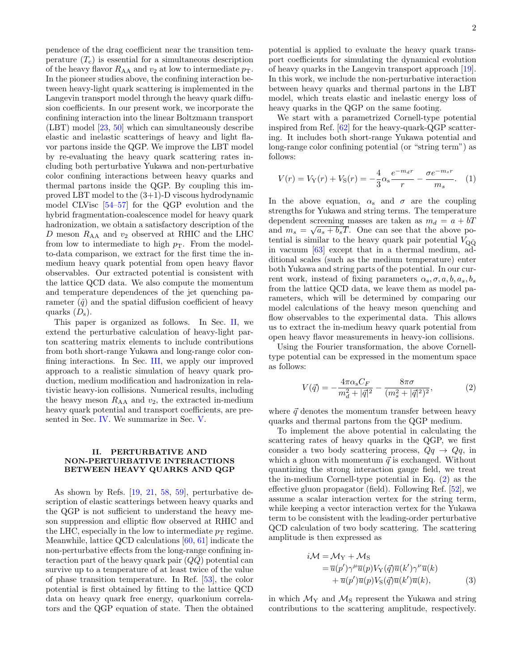pendence of the drag coefficient near the transition temperature  $(T_c)$  is essential for a simultaneous description of the heavy flavor  $R_{AA}$  and  $v_2$  at low to intermediate  $p_T$ . In the pioneer studies above, the confining interaction between heavy-light quark scattering is implemented in the Langevin transport model through the heavy quark diffusion coefficients. In our present work, we incorporate the confining interaction into the linear Boltzmann transport (LBT) model [\[23,](#page-7-23) [50\]](#page-7-16) which can simultaneously describe elastic and inelastic scatterings of heavy and light flavor partons inside the QGP. We improve the LBT model by re-evaluating the heavy quark scattering rates including both perturbative Yukawa and non-perturbative color confining interactions between heavy quarks and thermal partons inside the QGP. By coupling this improved LBT model to the (3+1)-D viscous hydrodynamic model CLVisc [\[54–](#page-7-24)[57\]](#page-8-0) for the QGP evolution and the hybrid fragmentation-coalescence model for heavy quark hadronization, we obtain a satisfactory description of the D meson  $R_{AA}$  and  $v_2$  observed at RHIC and the LHC from low to intermediate to high  $p<sub>T</sub>$ . From the modelto-data comparison, we extract for the first time the inmedium heavy quark potential from open heavy flavor observables. Our extracted potential is consistent with the lattice QCD data. We also compute the momentum and temperature dependences of the jet quenching parameter  $(\hat{q})$  and the spatial diffusion coefficient of heavy quarks  $(D_s)$ .

This paper is organized as follows. In Sec. [II,](#page-1-0) we extend the perturbative calculation of heavy-light parton scattering matrix elements to include contributions from both short-range Yukawa and long-range color confining interactions. In Sec. [III,](#page-2-0) we apply our improved approach to a realistic simulation of heavy quark production, medium modification and hadronization in relativistic heavy-ion collisions. Numerical results, including the heavy meson  $R_{AA}$  and  $v_2$ , the extracted in-medium heavy quark potential and transport coefficients, are presented in Sec. [IV.](#page-3-0) We summarize in Sec. [V.](#page-6-0)

## <span id="page-1-0"></span>II. PERTURBATIVE AND NON-PERTURBATIVE INTERACTIONS BETWEEN HEAVY QUARKS AND QGP

As shown by Refs. [\[19,](#page-7-20) [21,](#page-7-18) [58,](#page-8-1) [59\]](#page-8-2), perturbative description of elastic scatterings between heavy quarks and the QGP is not sufficient to understand the heavy meson suppression and elliptic flow observed at RHIC and the LHC, especially in the low to intermediate  $p<sub>T</sub>$  regime. Meanwhile, lattice QCD calculations [\[60,](#page-8-3) [61\]](#page-8-4) indicate the non-perturbative effects from the long-range confining interaction part of the heavy quark pair  $(Q\overline{Q})$  potential can survive up to a temperature of at least twice of the value of phase transition temperature. In Ref. [\[53\]](#page-7-22), the color potential is first obtained by fitting to the lattice QCD data on heavy quark free energy, quarkonium correlators and the QGP equation of state. Then the obtained

potential is applied to evaluate the heavy quark transport coefficients for simulating the dynamical evolution of heavy quarks in the Langevin transport approach [\[19\]](#page-7-20). In this work, we include the non-perturbative interaction between heavy quarks and thermal partons in the LBT model, which treats elastic and inelastic energy loss of heavy quarks in the QGP on the same footing.

We start with a parametrized Cornell-type potential inspired from Ref. [\[62\]](#page-8-5) for the heavy-quark-QGP scattering. It includes both short-range Yukawa potential and long-range color confining potential (or "string term") as follows:

<span id="page-1-2"></span>
$$
V(r) = V_Y(r) + V_S(r) = -\frac{4}{3}\alpha_s \frac{e^{-m_d r}}{r} - \frac{\sigma e^{-m_s r}}{m_s}.
$$
 (1)

In the above equation,  $\alpha_s$  and  $\sigma$  are the coupling strengths for Yukawa and string terms. The temperature dependent screening masses are taken as  $m_d = a + bT$ and  $m_s = \sqrt{a_s + b_sT}$ . One can see that the above potential is similar to the heavy quark pair potential  $V_{\text{Q}\bar{\text{Q}}}$ in vacuum [\[63\]](#page-8-6) except that in a thermal medium, additional scales (such as the medium temperature) enter both Yukawa and string parts of the potential. In our current work, instead of fixing parameters  $\alpha_s, \sigma, a, b, a_s, b_s$ from the lattice QCD data, we leave them as model parameters, which will be determined by comparing our model calculations of the heavy meson quenching and flow observables to the experimental data. This allows us to extract the in-medium heavy quark potential from open heavy flavor measurements in heavy-ion collisions.

Using the Fourier transformation, the above Cornelltype potential can be expressed in the momentum space as follows:

<span id="page-1-1"></span>
$$
V(\vec{q}) = -\frac{4\pi\alpha_s C_F}{m_d^2 + |\vec{q}|^2} - \frac{8\pi\sigma}{(m_s^2 + |\vec{q}|^2)^2},\tag{2}
$$

where  $\vec{q}$  denotes the momentum transfer between heavy quarks and thermal partons from the QGP medium.

To implement the above potential in calculating the scattering rates of heavy quarks in the QGP, we first consider a two body scattering process,  $Qq \rightarrow Qq$ , in which a gluon with momentum  $\vec{q}$  is exchanged. Without quantizing the strong interaction gauge field, we treat the in-medium Cornell-type potential in Eq. [\(2\)](#page-1-1) as the effective gluon propagator (field). Following Ref. [\[52\]](#page-7-25), we assume a scalar interaction vertex for the string term, while keeping a vector interaction vertex for the Yukawa term to be consistent with the leading-order perturbative QCD calculation of two body scattering. The scattering amplitude is then expressed as

$$
i\mathcal{M} = \mathcal{M}_{Y} + \mathcal{M}_{S}
$$
  
=  $\overline{u}(p')\gamma^{\mu}\overline{u}(p)V_{Y}(\vec{q})\overline{u}(k')\gamma^{\nu}\overline{u}(k)$   
+  $\overline{u}(p')\overline{u}(p)V_{S}(\vec{q})\overline{u}(k')\overline{u}(k),$  (3)

in which  $\mathcal{M}_{\rm Y}$  and  $\mathcal{M}_{\rm S}$  represent the Yukawa and string contributions to the scattering amplitude, respectively.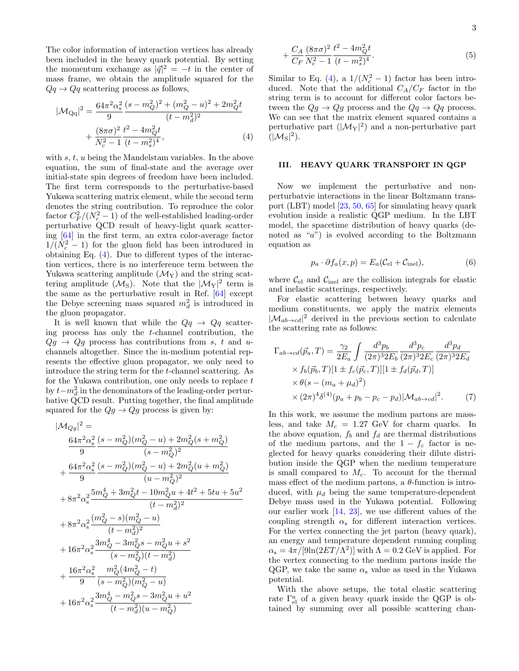The color information of interaction vertices has already been included in the heavy quark potential. By setting the momentum exchange as  $|\vec{q}|^2 = -t$  in the center of mass frame, we obtain the amplitude squared for the  $Qq \rightarrow Qq$  scattering process as follows,

$$
|\mathcal{M}_{\mathbf{Qq}}|^2 = \frac{64\pi^2 \alpha_s^2}{9} \frac{(s - m_Q^2)^2 + (m_Q^2 - u)^2 + 2m_Q^2 t}{(t - m_d^2)^2} + \frac{(8\pi\sigma)^2}{N_c^2 - 1} \frac{t^2 - 4m_Q^2 t}{(t - m_s^2)^4},
$$
\n(4)

with  $s, t, u$  being the Mandelstam variables. In the above equation, the sum of final-state and the average over initial-state spin degrees of freedom have been included. The first term corresponds to the perturbative-based Yukawa scattering matrix element, while the second term denotes the string contribution. To reproduce the color factor  $C_F^2/(N_c^2-1)$  of the well-established leading-order perturbative QCD result of heavy-light quark scattering [\[64\]](#page-8-7) in the first term, an extra color-average factor  $1/(N_c^2-1)$  for the gluon field has been introduced in obtaining Eq. [\(4\)](#page-2-1). Due to different types of the interaction vertices, there is no interference term between the Yukawa scattering amplitude  $(\mathcal{M}_{Y})$  and the string scattering amplitude  $(\mathcal{M}_S)$ . Note that the  $|\mathcal{M}_Y|^2$  term is the same as the perturbative result in Ref. [\[64\]](#page-8-7) except the Debye screening mass squared  $m_d^2$  is introduced in the gluon propagator.

It is well known that while the  $Qq \rightarrow Qq$  scattering process has only the t-channel contribution, the  $Qg \rightarrow Qg$  process has contributions from s, t and uchannels altogether. Since the in-medium potential represents the effective gluon propagator, we only need to introduce the string term for the t-channel scattering. As for the Yukawa contribution, one only needs to replace  $t$ by  $t-m_d^2$  in the denominators of the leading-order perturbative QCD result. Putting together, the final amplitude squared for the  $Qg \to Qg$  process is given by:

$$
\begin{split} &|\mathcal{M}_{Qg}|^2 = \\ &\frac{64\pi^2\alpha_{\rm s}^2}{9}\frac{(s-m_Q^2)(m_Q^2-u)+2m_Q^2(s+m_Q^2)}{(s-m_Q^2)^2} \\ &+\frac{64\pi^2\alpha_{\rm s}^2}{9}\frac{(s-m_Q^2)(m_Q^2-u)+2m_Q^2(u+m_Q^2)}{(u-m_Q^2)^2} \\ &+8\pi^2\alpha_{\rm s}^2\frac{5m_Q^4+3m_Q^2t-10m_Q^2u+4t^2+5tu+5u^2}{(t-m_d^2)^2} \\ &+8\pi^2\alpha_{\rm s}^2\frac{(m_Q^2-s)(m_Q^2-u)}{(t-m_d^2)^2} \\ &+16\pi^2\alpha_{\rm s}^2\frac{3m_Q^4-3m_Q^2s-m_Q^2u+s^2}{(s-m_Q^2)(t-m_d^2)} \\ &+ \frac{16\pi^2\alpha_{\rm s}^2}{9}\frac{m_Q^2(4m_Q^2-t)}{(s-m_Q^2)(m_Q^2-u)} \\ &+16\pi^2\alpha_{\rm s}^2\frac{3m_Q^4-m_Q^2s-3m_Q^2u+u^2}{(t-m_d^2)(u-m_Q^2)} \end{split}
$$

$$
+\frac{C_A}{C_F} \frac{(8\pi\sigma)^2}{N_c^2 - 1} \frac{t^2 - 4m_Q^2 t}{(t - m_s^2)^4}.
$$
\n(5)

Similar to Eq. [\(4\)](#page-2-1), a  $1/(N_c^2-1)$  factor has been introduced. Note that the additional  $C_A/C_F$  factor in the string term is to account for different color factors between the  $Qg \to Qg$  process and the  $Qq \to Qq$  process. We can see that the matrix element squared contains a perturbative part  $(|\mathcal{M}_Y|^2)$  and a non-perturbative part  $(|\mathcal{M}_S|^2)$ .

## <span id="page-2-1"></span><span id="page-2-0"></span>III. HEAVY QUARK TRANSPORT IN QGP

Now we implement the perturbative and nonperturbatvie interactions in the linear Boltzmann transport (LBT) model [\[23,](#page-7-23) [50,](#page-7-16) [65\]](#page-8-8) for simulating heavy quark evolution inside a realistic QGP medium. In the LBT model, the spacetime distribution of heavy quarks (denoted as " $a$ ") is evolved according to the Boltzmann equation as

$$
p_a \cdot \partial f_a(x, p) = E_a(\mathcal{C}_{\text{el}} + \mathcal{C}_{\text{inel}}),\tag{6}
$$

where  $\mathcal{C}_{\mathrm{el}}$  and  $\mathcal{C}_{\mathrm{inel}}$  are the collision integrals for elastic and inelastic scatterings, respectively.

For elastic scattering between heavy quarks and medium constituents, we apply the matrix elements  $|\mathcal{M}_{ab\to cd}|^2$  derived in the previous section to calculate the scattering rate as follows:

<span id="page-2-2"></span>
$$
\Gamma_{ab \to cd}(\vec{p}_a, T) = \frac{\gamma_2}{2E_a} \int \frac{d^3 p_b}{(2\pi)^3 2E_b} \frac{d^3 p_c}{(2\pi)^3 2E_c} \frac{d^3 p_d}{(2\pi)^3 2E_d}
$$
  
×  $f_b(\vec{p}_b, T)[1 \pm f_c(\vec{p}_c, T)][1 \pm f_d(\vec{p}_d, T)]$   
×  $\theta(s - (m_a + \mu_d)^2)$   
×  $(2\pi)^4 \delta^{(4)} (p_a + p_b - p_c - p_d) |\mathcal{M}_{ab \to cd}|^2$ . (7)

In this work, we assume the medium partons are massless, and take  $M_c = 1.27$  GeV for charm quarks. In the above equation,  $f_b$  and  $f_d$  are thermal distributions of the medium partons, and the  $1 - f_c$  factor is neglected for heavy quarks considering their dilute distribution inside the QGP when the medium temperature is small compared to  $M_c$ . To account for the thermal mass effect of the medium partons, a  $\theta$ -function is introduced, with  $\mu_d$  being the same temperature-dependent Debye mass used in the Yukawa potential. Following our earlier work [\[14,](#page-7-5) [23\]](#page-7-23), we use different values of the coupling strength  $\alpha_s$  for different interaction vertices. For the vertex connecting the jet parton (heavy quark), an energy and temperature dependent running coupling  $\alpha_{\rm s} = 4\pi/[9\ln(2ET/\Lambda^2)]$  with  $\Lambda = 0.2$  GeV is applied. For the vertex connecting to the medium partons inside the QGP, we take the same  $\alpha_s$  value as used in the Yukawa potential.

With the above setups, the total elastic scattering rate  $\Gamma^a_{el}$  of a given heavy quark inside the QGP is obtained by summing over all possible scattering chan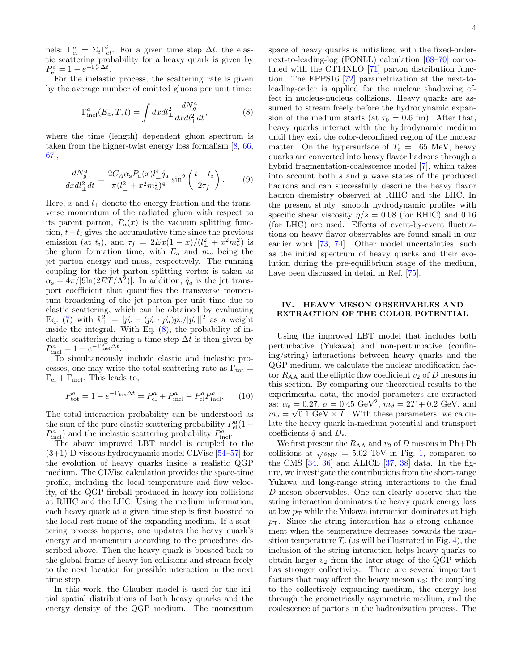nels:  $\Gamma_{\text{el}}^a = \Sigma_i \Gamma_{el}^i$ . For a given time step  $\Delta t$ , the elastic scattering probability for a heavy quark is given by  $P_{\text{el}}^a = 1 - e^{-\Gamma_{\text{el}}^a \Delta t}.$ 

For the inelastic process, the scattering rate is given by the average number of emitted gluons per unit time:

<span id="page-3-1"></span>
$$
\Gamma^{a}_{\text{inel}}(E_a, T, t) = \int dxdl_{\perp}^2 \frac{dN_g^a}{dxdl_{\perp}^2 dt},\tag{8}
$$

where the time (length) dependent gluon spectrum is taken from the higher-twist energy loss formalism [\[8,](#page-7-4) [66,](#page-8-9) [67\]](#page-8-10),

$$
\frac{dN_g^a}{dxdl_\perp^2 dt} = \frac{2C_A \alpha_s P_a(x) l_\perp^4 \hat{q}_a}{\pi (l_\perp^2 + x^2 m_a^2)^4} \sin^2\left(\frac{t - t_i}{2\tau_f}\right). \tag{9}
$$

Here, x and  $l_{\perp}$  denote the energy fraction and the transverse momentum of the radiated gluon with respect to its parent parton,  $P_a(x)$  is the vacuum splitting function,  $t-t_i$  gives the accumulative time since the previous emission (at  $t_i$ ), and  $\tau_f = 2Ex(1-x)/(l_{\perp}^2 + x^2 m_a^2)$  is the gluon formation time, with  $E_a$  and  $m_a$  being the jet parton energy and mass, respectively. The running coupling for the jet parton splitting vertex is taken as  $\alpha_{\rm s} = 4\pi/[9\ln(2ET/\Lambda^2)]$ . In addition,  $\hat{q}_a$  is the jet transport coefficient that quantifies the transverse momentum broadening of the jet parton per unit time due to elastic scattering, which can be obtained by evaluating Eq. [\(7\)](#page-2-2) with  $k_{\perp}^2 = [\vec{p}_c - (\vec{p}_c \cdot \vec{p}_a)\vec{p}_a/|\vec{p}_a|]^2$  as a weight inside the integral. With Eq. [\(8\)](#page-3-1), the probability of inelastic scattering during a time step  $\Delta t$  is then given by  $P_{\text{inel}}^a = 1 - e^{-\Gamma_{\text{inel}}^a \Delta t}.$ 

To simultaneously include elastic and inelastic processes, one may write the total scattering rate as  $\Gamma_{\text{tot}} =$  $\Gamma_{\rm el} + \Gamma_{\rm inel}$ . This leads to,

$$
P_{\text{tot}}^a = 1 - e^{-\Gamma_{\text{tot}}\Delta t} = P_{\text{el}}^a + P_{\text{inel}}^a - P_{\text{el}}^a P_{\text{inel}}^a. \tag{10}
$$

The total interaction probability can be understood as the sum of the pure elastic scattering probability  $P_{\text{el}}^a(1 P_{\text{inel}}^a$ ) and the inelastic scattering probability  $P_{\text{inel}}^a$ .

The above improved LBT model is coupled to the  $(3+1)$ -D viscous hydrodynamic model CLVisc [\[54–](#page-7-24)[57\]](#page-8-0) for the evolution of heavy quarks inside a realistic QGP medium. The CLVisc calculation provides the space-time profile, including the local temperature and flow velocity, of the QGP fireball produced in heavy-ion collisions at RHIC and the LHC. Using the medium information, each heavy quark at a given time step is first boosted to the local rest frame of the expanding medium. If a scattering process happens, one updates the heavy quark's energy and momentum according to the procedures described above. Then the heavy quark is boosted back to the global frame of heavy-ion collisions and stream freely to the next location for possible interaction in the next time step.

In this work, the Glauber model is used for the initial spatial distributions of both heavy quarks and the energy density of the QGP medium. The momentum space of heavy quarks is initialized with the fixed-ordernext-to-leading-log (FONLL) calculation [\[68](#page-8-11)[–70\]](#page-8-12) convoluted with the CT14NLO [\[71\]](#page-8-13) parton distribution function. The EPPS16 [\[72\]](#page-8-14) parametrization at the next-toleading-order is applied for the nuclear shadowing effect in nucleus-nucleus collisions. Heavy quarks are assumed to stream freely before the hydrodynamic expansion of the medium starts (at  $\tau_0 = 0.6$  fm). After that, heavy quarks interact with the hydrodynamic medium until they exit the color-deconfined region of the nuclear matter. On the hypersurface of  $T_c = 165$  MeV, heavy quarks are converted into heavy flavor hadrons through a hybrid fragmentation-coalescence model [\[7\]](#page-7-3), which takes into account both  $s$  and  $p$  wave states of the produced hadrons and can successfully describe the heavy flavor hadron chemistry observed at RHIC and the LHC. In the present study, smooth hydrodynamic profiles with specific shear viscosity  $\eta/s = 0.08$  (for RHIC) and 0.16 (for LHC) are used. Effects of event-by-event fluctuations on heavy flavor observables are found small in our earlier work [\[73,](#page-8-15) [74\]](#page-8-16). Other model uncertainties, such as the initial spectrum of heavy quarks and their evolution during the pre-equilibrium stage of the medium, have been discussed in detail in Ref. [\[75\]](#page-8-17).

## <span id="page-3-0"></span>IV. HEAVY MESON OBSERVABLES AND EXTRACTION OF THE COLOR POTENTIAL

Using the improved LBT model that includes both perturbative (Yukawa) and non-perturbative (confining/string) interactions between heavy quarks and the QGP medium, we calculate the nuclear modification factor  $R_{AA}$  and the elliptic flow coefficient  $v_2$  of D mesons in this section. By comparing our theoretical results to the experimental data, the model parameters are extracted as:  $\alpha_s = 0.27$ ,  $\sigma = 0.45 \text{ GeV}^2$ ,  $m_d = 2T + 0.2 \text{ GeV}$ , and  $m_s = \sqrt{0.1 \text{ GeV} \times T}$ . With these parameters, we calculate the heavy quark in-medium potential and transport coefficients  $\hat{q}$  and  $D_s$ .

We first present the  $R_{AA}$  and  $v_2$  of D mesons in Pb+Pb we mst present the  $R_{AA}$  and  $v_2$  or D mesons in 1 0+1 b<br>collisions at  $\sqrt{s_{NN}} = 5.02$  TeV in Fig. [1,](#page-4-0) compared to the CMS  $[34, 36]$  $[34, 36]$  and ALICE  $[37, 38]$  $[37, 38]$  data. In the figure, we investigate the contributions from the short-range Yukawa and long-range string interactions to the final D meson observables. One can clearly observe that the string interaction dominates the heavy quark energy loss at low  $p_T$  while the Yukawa interaction dominates at high  $p<sub>T</sub>$ . Since the string interaction has a strong enhancement when the temperature decreases towards the transition temperature  $T_c$  (as will be illustrated in Fig. [4\)](#page-5-0), the inclusion of the string interaction helps heavy quarks to obtain larger  $v_2$  from the later stage of the QGP which has stronger collectivity. There are several important factors that may affect the heavy meson  $v_2$ : the coupling to the collectively expanding medium, the energy loss through the geometrically asymmetric medium, and the coalescence of partons in the hadronization process. The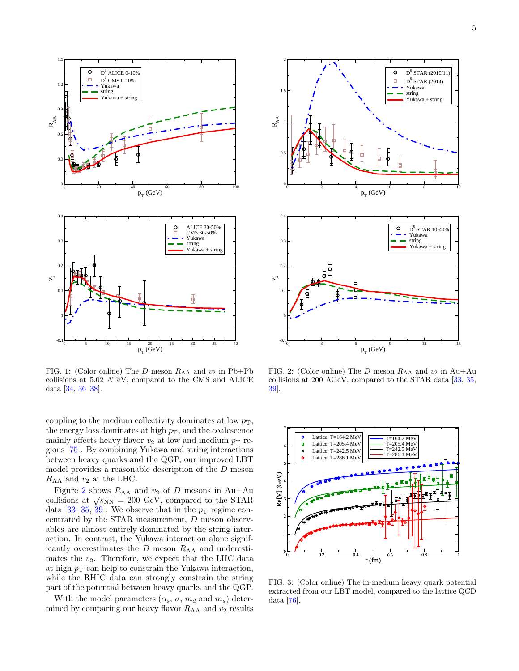



<span id="page-4-0"></span>FIG. 1: (Color online) The D meson  $R_{AA}$  and  $v_2$  in Pb+Pb collisions at 5.02 ATeV, compared to the CMS and ALICE data [\[34,](#page-7-26) [36–](#page-7-27)[38\]](#page-7-13).

coupling to the medium collectivity dominates at low  $p<sub>T</sub>$ , the energy loss dominates at high  $p<sub>T</sub>$ , and the coalescence mainly affects heavy flavor  $v_2$  at low and medium  $p_T$  regions [\[75\]](#page-8-17). By combining Yukawa and string interactions between heavy quarks and the QGP, our improved LBT model provides a reasonable description of the D meson  $R_{AA}$  and  $v_2$  at the LHC.

Figure [2](#page-4-1) shows  $R_{AA}$  and  $v_2$  of  $D$  mesons in Au+Au Figure 2 shows  $R_{AA}$  and  $v_2$  or D mesons in Ad+Ad collisions at  $\sqrt{s_{NN}}$  = 200 GeV, compared to the STAR data [\[33,](#page-7-29) [35,](#page-7-30) [39\]](#page-7-31). We observe that in the  $p_T$  regime concentrated by the STAR measurement, D meson observables are almost entirely dominated by the string interaction. In contrast, the Yukawa interaction alone significantly overestimates the  $D$  meson  $R_{AA}$  and underestimates the  $v_2$ . Therefore, we expect that the LHC data at high  $p_T$  can help to constrain the Yukawa interaction, while the RHIC data can strongly constrain the string part of the potential between heavy quarks and the QGP.

With the model parameters  $(\alpha_s, \sigma, m_d \text{ and } m_s)$  determined by comparing our heavy flavor  $R_{AA}$  and  $v_2$  results



<span id="page-4-1"></span>FIG. 2: (Color online) The D meson  $R_{AA}$  and  $v_2$  in Au+Au collisions at 200 AGeV, compared to the STAR data [\[33,](#page-7-29) [35,](#page-7-30) [39\]](#page-7-31).



<span id="page-4-2"></span>FIG. 3: (Color online) The in-medium heavy quark potential extracted from our LBT model, compared to the lattice QCD data [\[76\]](#page-8-18).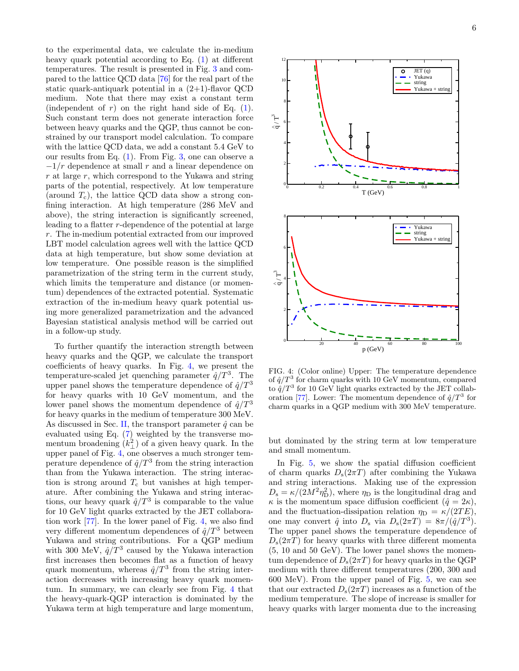to the experimental data, we calculate the in-medium heavy quark potential according to Eq. [\(1\)](#page-1-2) at different temperatures. The result is presented in Fig. [3](#page-4-2) and compared to the lattice QCD data [\[76\]](#page-8-18) for the real part of the static quark-antiquark potential in a  $(2+1)$ -flavor QCD medium. Note that there may exist a constant term (independent of  $r$ ) on the right hand side of Eq. [\(1\)](#page-1-2). Such constant term does not generate interaction force between heavy quarks and the QGP, thus cannot be constrained by our transport model calculation. To compare with the lattice QCD data, we add a constant 5.4 GeV to our results from Eq. [\(1\)](#page-1-2). From Fig. [3,](#page-4-2) one can observe a  $-1/r$  dependence at small r and a linear dependence on  $r$  at large  $r$ , which correspond to the Yukawa and string parts of the potential, respectively. At low temperature (around  $T_c$ ), the lattice QCD data show a strong confining interaction. At high temperature (286 MeV and above), the string interaction is significantly screened, leading to a flatter r-dependence of the potential at large r. The in-medium potential extracted from our improved LBT model calculation agrees well with the lattice QCD data at high temperature, but show some deviation at low temperature. One possible reason is the simplified parametrization of the string term in the current study, which limits the temperature and distance (or momentum) dependences of the extracted potential. Systematic extraction of the in-medium heavy quark potential using more generalized parametrization and the advanced Bayesian statistical analysis method will be carried out in a follow-up study.

To further quantify the interaction strength between heavy quarks and the QGP, we calculate the transport coefficients of heavy quarks. In Fig. [4,](#page-5-0) we present the temperature-scaled jet quenching parameter  $\hat{q}/T^3$ . The upper panel shows the temperature dependence of  $\hat{q}/T^3$ for heavy quarks with 10 GeV momentum, and the lower panel shows the momentum dependence of  $\hat{q}/T^3$ for heavy quarks in the medium of temperature 300 MeV. As discussed in Sec. [II,](#page-1-0) the transport parameter  $\hat{q}$  can be evaluated using Eq. [\(7\)](#page-2-2) weighted by the transverse momentum broadening  $(k_1^2)$  of a given heavy quark. In the upper panel of Fig. [4,](#page-5-0) one observes a much stronger temperature dependence of  $\hat{q}/T^3$  from the string interaction than from the Yukawa interaction. The string interaction is strong around  $T_c$  but vanishes at high temperature. After combining the Yukawa and string interactions, our heavy quark  $\hat{q}/T^3$  is comparable to the value for 10 GeV light quarks extracted by the JET collaboration work [\[77\]](#page-8-19). In the lower panel of Fig. [4,](#page-5-0) we also find very different momentum dependences of  $\hat{q}/T^3$  between Yukawa and string contributions. For a QGP medium with 300 MeV,  $\hat{q}/T^3$  caused by the Yukawa interaction first increases then becomes flat as a function of heavy quark momentum, whereas  $\hat{q}/T^3$  from the string interaction decreases with increasing heavy quark momentum. In summary, we can clearly see from Fig. [4](#page-5-0) that the heavy-quark-QGP interaction is dominated by the Yukawa term at high temperature and large momentum,



<span id="page-5-0"></span>FIG. 4: (Color online) Upper: The temperature dependence of  $\hat{q}/T^3$  for charm quarks with 10 GeV momentum, compared to  $\hat{q}/T^3$  for 10 GeV light quarks extracted by the JET collab-oration [\[77\]](#page-8-19). Lower: The momentum dependence of  $\hat{q}/T^3$  for charm quarks in a QGP medium with 300 MeV temperature.

but dominated by the string term at low temperature and small momentum.

In Fig. [5,](#page-6-1) we show the spatial diffusion coefficient of charm quarks  $D_s(2\pi T)$  after combining the Yukawa and string interactions. Making use of the expression  $D_{\rm s} = \kappa/(2M^2\eta_{\rm D}^2)$ , where  $\eta_{\rm D}$  is the longitudinal drag and  $\kappa$  is the momentum space diffusion coefficient  $(\hat{q} = 2\kappa)$ , and the fluctuation-dissipation relation  $\eta_D = \kappa/(2TE)$ , one may convert  $\hat{q}$  into  $D_s$  via  $D_s(2\pi T) = 8\pi/(\hat{q}/T^3)$ . The upper panel shows the temperature dependence of  $D_{s}(2\pi T)$  for heavy quarks with three different momenta (5, 10 and 50 GeV). The lower panel shows the momentum dependence of  $D_s(2\pi T)$  for heavy quarks in the QGP medium with three different temperatures (200, 300 and 600 MeV). From the upper panel of Fig. [5,](#page-6-1) we can see that our extracted  $D_s(2\pi T)$  increases as a function of the medium temperature. The slope of increase is smaller for heavy quarks with larger momenta due to the increasing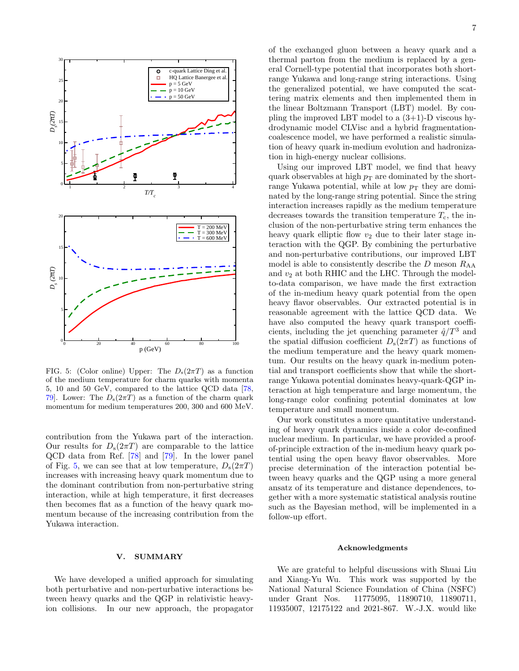

<span id="page-6-1"></span>FIG. 5: (Color online) Upper: The  $D_s(2\pi T)$  as a function of the medium temperature for charm quarks with momenta 5, 10 and 50 GeV, compared to the lattice QCD data [\[78,](#page-8-20) 79. Lower: The  $D_s(2\pi T)$  as a function of the charm quark momentum for medium temperatures 200, 300 and 600 MeV.

contribution from the Yukawa part of the interaction. Our results for  $D_s(2\pi T)$  are comparable to the lattice QCD data from Ref. [\[78\]](#page-8-20) and [\[79\]](#page-8-21). In the lower panel of Fig. [5,](#page-6-1) we can see that at low temperature,  $D_s(2\pi T)$ increases with increasing heavy quark momentum due to the dominant contribution from non-perturbative string interaction, while at high temperature, it first decreases then becomes flat as a function of the heavy quark momentum because of the increasing contribution from the Yukawa interaction.

### <span id="page-6-0"></span>V. SUMMARY

We have developed a unified approach for simulating both perturbative and non-perturbative interactions between heavy quarks and the QGP in relativistic heavyion collisions. In our new approach, the propagator of the exchanged gluon between a heavy quark and a thermal parton from the medium is replaced by a general Cornell-type potential that incorporates both shortrange Yukawa and long-range string interactions. Using the generalized potential, we have computed the scattering matrix elements and then implemented them in the linear Boltzmann Transport (LBT) model. By coupling the improved LBT model to a  $(3+1)$ -D viscous hydrodynamic model CLVisc and a hybrid fragmentationcoalescence model, we have performed a realistic simulation of heavy quark in-medium evolution and hadronization in high-energy nuclear collisions.

Using our improved LBT model, we find that heavy quark observables at high  $p_T$  are dominated by the shortrange Yukawa potential, while at low  $p_T$  they are dominated by the long-range string potential. Since the string interaction increases rapidly as the medium temperature decreases towards the transition temperature  $T_c$ , the inclusion of the non-perturbative string term enhances the heavy quark elliptic flow  $v_2$  due to their later stage interaction with the QGP. By combining the perturbative and non-perturbative contributions, our improved LBT model is able to consistently describe the  $D$  meson  $R_{AA}$ and  $v_2$  at both RHIC and the LHC. Through the modelto-data comparison, we have made the first extraction of the in-medium heavy quark potential from the open heavy flavor observables. Our extracted potential is in reasonable agreement with the lattice QCD data. We have also computed the heavy quark transport coefficients, including the jet quenching parameter  $\hat{q}/T^3$  and the spatial diffusion coefficient  $D_s(2\pi T)$  as functions of the medium temperature and the heavy quark momentum. Our results on the heavy quark in-medium potential and transport coefficients show that while the shortrange Yukawa potential dominates heavy-quark-QGP interaction at high temperature and large momentum, the long-range color confining potential dominates at low temperature and small momentum.

Our work constitutes a more quantitative understanding of heavy quark dynamics inside a color de-confined nuclear medium. In particular, we have provided a proofof-principle extraction of the in-medium heavy quark potential using the open heavy flavor observables. More precise determination of the interaction potential between heavy quarks and the QGP using a more general ansatz of its temperature and distance dependences, together with a more systematic statistical analysis routine such as the Bayesian method, will be implemented in a follow-up effort.

### Acknowledgments

We are grateful to helpful discussions with Shuai Liu and Xiang-Yu Wu. This work was supported by the National Natural Science Foundation of China (NSFC) under Grant Nos. 11775095, 11890710, 11890711, 11935007, 12175122 and 2021-867. W.-J.X. would like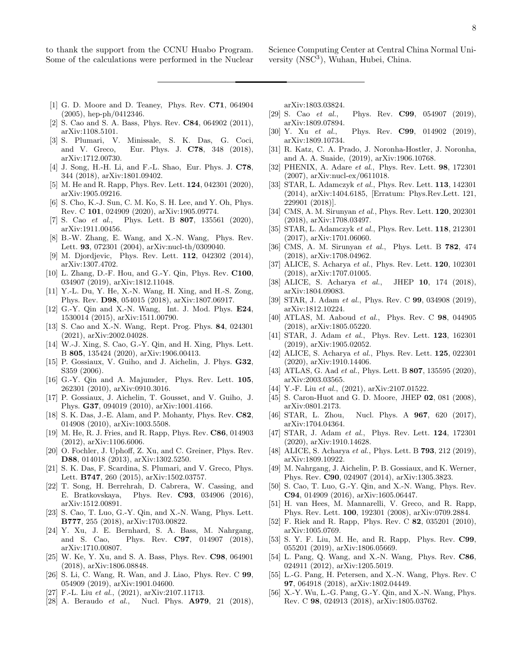to thank the support from the CCNU Huabo Program. Some of the calculations were performed in the Nuclear Science Computing Center at Central China Normal University (NSC<sup>3</sup>), Wuhan, Hubei, China.

- <span id="page-7-0"></span>[1] G. D. Moore and D. Teaney, Phys. Rev. C71, 064904 (2005), hep-ph/0412346.
- <span id="page-7-1"></span>[2] S. Cao and S. A. Bass, Phys. Rev. **C84**, 064902 (2011), arXiv:1108.5101.
- <span id="page-7-2"></span>[3] S. Plumari, V. Minissale, S. K. Das, G. Coci, and V. Greco, Eur. Phys. J. C78, 348 (2018), arXiv:1712.00730.
- [4] J. Song, H.-H. Li, and F.-L. Shao, Eur. Phys. J. C78, 344 (2018), arXiv:1801.09402.
- <span id="page-7-19"></span>[5] M. He and R. Rapp, Phys. Rev. Lett. **124**, 042301 (2020), arXiv:1905.09216.
- [6] S. Cho, K.-J. Sun, C. M. Ko, S. H. Lee, and Y. Oh, Phys. Rev. C 101, 024909 (2020), arXiv:1905.09774.
- <span id="page-7-3"></span>[7] S. Cao et al., Phys. Lett. B 807, 135561 (2020), arXiv:1911.00456.
- <span id="page-7-4"></span>[8] B.-W. Zhang, E. Wang, and X.-N. Wang, Phys. Rev. Lett. 93, 072301 (2004), arXiv:nucl-th/0309040.
- [9] M. Djordjevic, Phys. Rev. Lett. **112**, 042302 (2014), arXiv:1307.4702.
- [10] L. Zhang, D.-F. Hou, and G.-Y. Qin, Phys. Rev. C100, 034907 (2019), arXiv:1812.11048.
- [11] Y.-L. Du, Y. He, X.-N. Wang, H. Xing, and H.-S. Zong, Phys. Rev. D98, 054015 (2018), arXiv:1807.06917.
- [12] G.-Y. Qin and X.-N. Wang, Int. J. Mod. Phys. E24, 1530014 (2015), arXiv:1511.00790.
- [13] S. Cao and X.-N. Wang, Rept. Prog. Phys. 84, 024301 (2021), arXiv:2002.04028.
- <span id="page-7-5"></span>[14] W.-J. Xing, S. Cao, G.-Y. Qin, and H. Xing, Phys. Lett. B 805, 135424 (2020), arXiv:1906.00413.
- [15] P. Gossiaux, V. Guiho, and J. Aichelin, J. Phys. **G32**, S359 (2006).
- [16] G.-Y. Qin and A. Majumder, Phys. Rev. Lett. 105, 262301 (2010), arXiv:0910.3016.
- <span id="page-7-17"></span>[17] P. Gossiaux, J. Aichelin, T. Gousset, and V. Guiho, J. Phys. G37, 094019 (2010), arXiv:1001.4166.
- [18] S. K. Das, J.-E. Alam, and P. Mohanty, Phys. Rev. C82, 014908 (2010), arXiv:1003.5508.
- <span id="page-7-20"></span>[19] M. He, R. J. Fries, and R. Rapp, Phys. Rev. C86, 014903 (2012), arXiv:1106.6006.
- [20] O. Fochler, J. Uphoff, Z. Xu, and C. Greiner, Phys. Rev. D88, 014018 (2013), arXiv:1302.5250.
- <span id="page-7-18"></span>[21] S. K. Das, F. Scardina, S. Plumari, and V. Greco, Phys. Lett. B747, 260 (2015), arXiv:1502.03757.
- [22] T. Song, H. Berrehrah, D. Cabrera, W. Cassing, and E. Bratkovskaya, Phys. Rev. C93, 034906 (2016), arXiv:1512.00891.
- <span id="page-7-23"></span>[23] S. Cao, T. Luo, G.-Y. Qin, and X.-N. Wang, Phys. Lett. B777, 255 (2018), arXiv:1703.00822.
- [24] Y. Xu, J. E. Bernhard, S. A. Bass, M. Nahrgang, and S. Cao, Phys. Rev. C97, 014907 (2018), arXiv:1710.00807.
- [25] W. Ke, Y. Xu, and S. A. Bass, Phys. Rev. C98, 064901 (2018), arXiv:1806.08848.
- [26] S. Li, C. Wang, R. Wan, and J. Liao, Phys. Rev. C 99, 054909 (2019), arXiv:1901.04600.
- [27] F.-L. Liu et al., (2021), arXiv:2107.11713.
- [28] A. Beraudo et al., Nucl. Phys. **A979**, 21 (2018),

arXiv:1803.03824.

- [29] S. Cao et al., Phys. Rev. **C99**, 054907 (2019), arXiv:1809.07894.
- [30] Y. Xu et al., Phys. Rev. **C99**, 014902 (2019), arXiv:1809.10734.
- <span id="page-7-6"></span>[31] R. Katz, C. A. Prado, J. Noronha-Hostler, J. Noronha, and A. A. Suaide, (2019), arXiv:1906.10768.
- <span id="page-7-7"></span>[32] PHENIX, A. Adare *et al.*, Phys. Rev. Lett. **98**, 172301 (2007), arXiv:nucl-ex/0611018.
- <span id="page-7-29"></span>[33] STAR, L. Adamczyk et al., Phys. Rev. Lett. **113**, 142301 (2014), arXiv:1404.6185, [Erratum: Phys.Rev.Lett. 121, 229901 (2018)].
- <span id="page-7-26"></span>[34] CMS, A. M. Sirunyan et al., Phys. Rev. Lett. **120**, 202301 (2018), arXiv:1708.03497.
- <span id="page-7-30"></span>[35] STAR, L. Adamczyk et al., Phys. Rev. Lett. 118, 212301 (2017), arXiv:1701.06060.
- <span id="page-7-27"></span>[36] CMS, A. M. Sirunyan et al., Phys. Lett. B **782**, 474 (2018), arXiv:1708.04962.
- <span id="page-7-28"></span>[37] ALICE, S. Acharya et al., Phys. Rev. Lett. **120**, 102301 (2018), arXiv:1707.01005.
- <span id="page-7-13"></span>[38] ALICE, S. Acharya et al., JHEP 10, 174 (2018), arXiv:1804.09083.
- <span id="page-7-31"></span>[39] STAR, J. Adam et al., Phys. Rev. C **99**, 034908 (2019), arXiv:1812.10224.
- [40] ATLAS, M. Aaboud et al., Phys. Rev. C 98, 044905 (2018), arXiv:1805.05220.
- [41] STAR, J. Adam et al., Phys. Rev. Lett. **123**, 162301 (2019), arXiv:1905.02052.
- [42] ALICE, S. Acharya et al., Phys. Rev. Lett. **125**, 022301 (2020), arXiv:1910.14406.
- <span id="page-7-8"></span>[43] ATLAS, G. Aad *et al.*, Phys. Lett. B **807**, 135595 (2020), arXiv:2003.03565.
- <span id="page-7-9"></span>[44] Y.-F. Liu et al., (2021), arXiv:2107.01522.
- <span id="page-7-10"></span>[45] S. Caron-Huot and G. D. Moore, JHEP 02, 081 (2008), arXiv:0801.2173.
- <span id="page-7-11"></span>[46] STAR, L. Zhou, Nucl. Phys. A **967**, 620 (2017), arXiv:1704.04364.
- <span id="page-7-12"></span>[47] STAR, J. Adam et al., Phys. Rev. Lett. **124**, 172301 (2020), arXiv:1910.14628.
- <span id="page-7-14"></span>[48] ALICE, S. Acharya et al., Phys. Lett. B **793**, 212 (2019), arXiv:1809.10922.
- <span id="page-7-15"></span>[49] M. Nahrgang, J. Aichelin, P. B. Gossiaux, and K. Werner, Phys. Rev. C90, 024907 (2014), arXiv:1305.3823.
- <span id="page-7-16"></span>[50] S. Cao, T. Luo, G.-Y. Qin, and X.-N. Wang, Phys. Rev. C94, 014909 (2016), arXiv:1605.06447.
- <span id="page-7-21"></span>[51] H. van Hees, M. Mannarelli, V. Greco, and R. Rapp, Phys. Rev. Lett. 100, 192301 (2008), arXiv:0709.2884.
- <span id="page-7-25"></span>[52] F. Riek and R. Rapp, Phys. Rev. C 82, 035201 (2010), arXiv:1005.0769.
- <span id="page-7-22"></span>[53] S. Y. F. Liu, M. He, and R. Rapp, Phys. Rev. C99, 055201 (2019), arXiv:1806.05669.
- <span id="page-7-24"></span>[54] L. Pang, Q. Wang, and X.-N. Wang, Phys. Rev. C86, 024911 (2012), arXiv:1205.5019.
- [55] L.-G. Pang, H. Petersen, and X.-N. Wang, Phys. Rev. C 97, 064918 (2018), arXiv:1802.04449.
- [56] X.-Y. Wu, L.-G. Pang, G.-Y. Qin, and X.-N. Wang, Phys. Rev. C 98, 024913 (2018), arXiv:1805.03762.